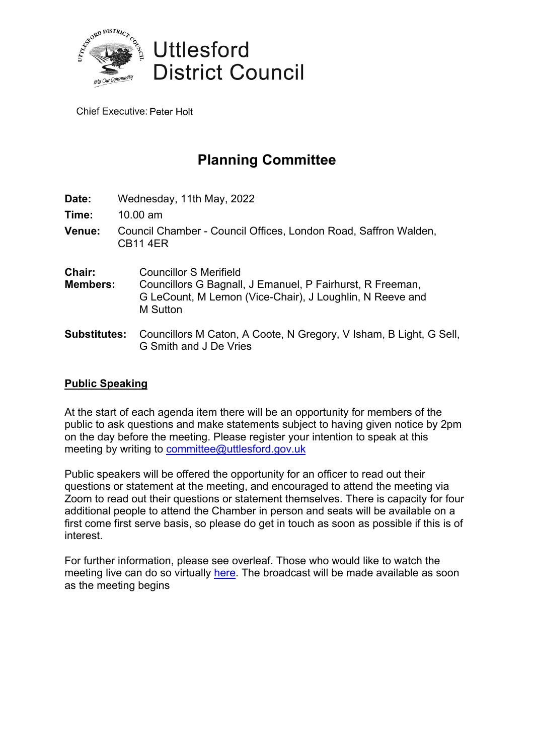

**Chief Executive: Peter Holt** 

# **Planning Committee**

| Date:                     | Wednesday, 11th May, 2022                                                                                                                                          |  |
|---------------------------|--------------------------------------------------------------------------------------------------------------------------------------------------------------------|--|
| Time:                     | $10.00 \text{ am}$                                                                                                                                                 |  |
| Venue:                    | Council Chamber - Council Offices, London Road, Saffron Walden,<br><b>CB11 4ER</b>                                                                                 |  |
| Chair:<br><b>Members:</b> | <b>Councillor S Merifield</b><br>Councillors G Bagnall, J Emanuel, P Fairhurst, R Freeman,<br>G LeCount, M Lemon (Vice-Chair), J Loughlin, N Reeve and<br>M Sutton |  |
| <b>Substitutes:</b>       | Councillors M Caton, A Coote, N Gregory, V Isham, B Light, G Sell,<br>G Smith and J De Vries                                                                       |  |

### **Public Speaking**

At the start of each agenda item there will be an opportunity for members of the public to ask questions and make statements subject to having given notice by 2pm on the day before the meeting. Please register your intention to speak at this meeting by writing to [committee@uttlesford.gov.uk](mailto:committee@uttlesford.gov.uk)

Public speakers will be offered the opportunity for an officer to read out their questions or statement at the meeting, and encouraged to attend the meeting via Zoom to read out their questions or statement themselves. There is capacity for four additional people to attend the Chamber in person and seats will be available on a first come first serve basis, so please do get in touch as soon as possible if this is of interest.

For further information, please see overleaf. Those who would like to watch the meeting live can do so virtually [here.](https://uttlesford.moderngov.co.uk/ieListDocuments.aspx?CId=138&MId=5762&Ver=4) The broadcast will be made available as soon as the meeting begins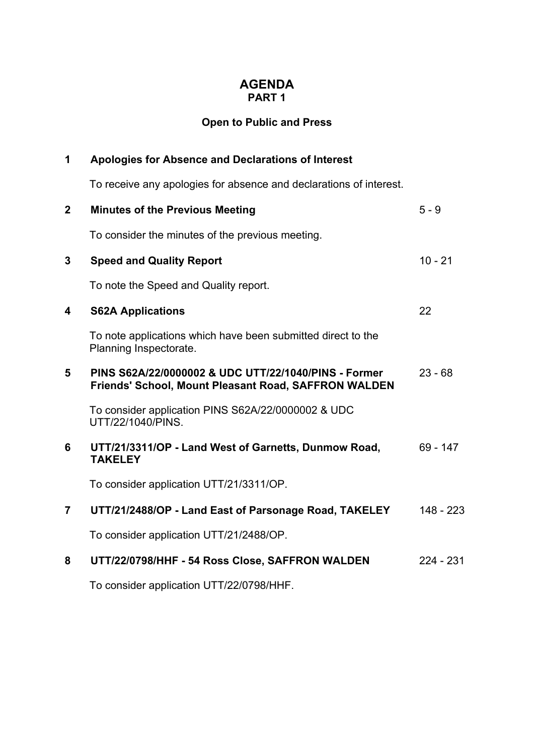### **AGENDA PART 1**

## **Open to Public and Press**

| 1                       | <b>Apologies for Absence and Declarations of Interest</b>                                                           |            |  |
|-------------------------|---------------------------------------------------------------------------------------------------------------------|------------|--|
|                         | To receive any apologies for absence and declarations of interest.                                                  |            |  |
| $\overline{2}$          | <b>Minutes of the Previous Meeting</b>                                                                              | $5 - 9$    |  |
|                         | To consider the minutes of the previous meeting.                                                                    |            |  |
| 3                       | <b>Speed and Quality Report</b>                                                                                     | $10 - 21$  |  |
|                         | To note the Speed and Quality report.                                                                               |            |  |
| $\overline{\mathbf{4}}$ | <b>S62A Applications</b>                                                                                            | 22         |  |
|                         | To note applications which have been submitted direct to the<br>Planning Inspectorate.                              |            |  |
| 5                       | PINS S62A/22/0000002 & UDC UTT/22/1040/PINS - Former<br><b>Friends' School, Mount Pleasant Road, SAFFRON WALDEN</b> | $23 - 68$  |  |
|                         | To consider application PINS S62A/22/0000002 & UDC<br>UTT/22/1040/PINS.                                             |            |  |
| 6                       | UTT/21/3311/OP - Land West of Garnetts, Dunmow Road,<br><b>TAKELEY</b>                                              | $69 - 147$ |  |
|                         | To consider application UTT/21/3311/OP.                                                                             |            |  |
| $\overline{7}$          | UTT/21/2488/OP - Land East of Parsonage Road, TAKELEY                                                               | 148 - 223  |  |
|                         | To consider application UTT/21/2488/OP.                                                                             |            |  |
| 8                       | UTT/22/0798/HHF - 54 Ross Close, SAFFRON WALDEN                                                                     | 224 - 231  |  |
|                         | To consider application UTT/22/0798/HHF.                                                                            |            |  |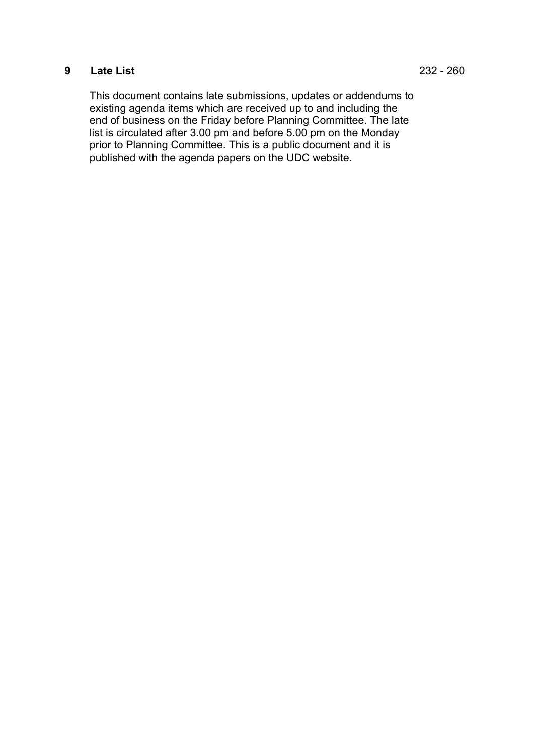### **9 Late List** 232 - 260

This document contains late submissions, updates or addendums to existing agenda items which are received up to and including the end of business on the Friday before Planning Committee. The late list is circulated after 3.00 pm and before 5.00 pm on the Monday prior to Planning Committee. This is a public document and it is published with the agenda papers on the UDC website.